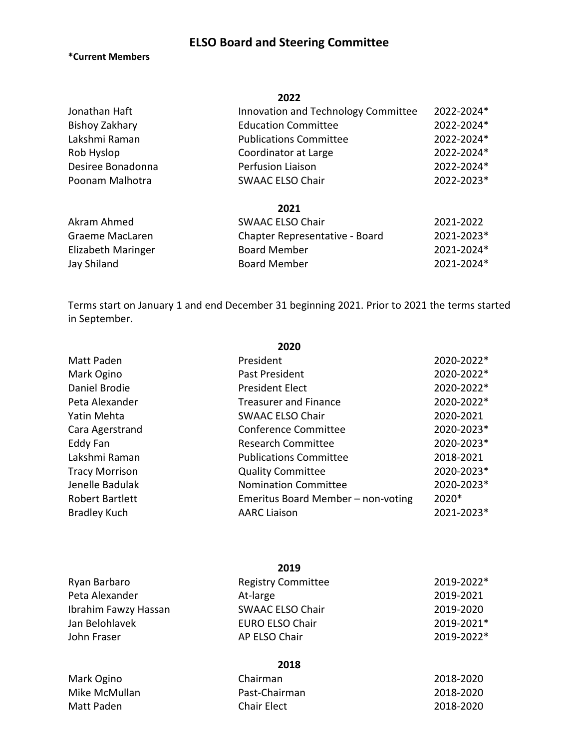# **ELSO Board and Steering Committee**

**\*Current Members**

|                   | 2022                                |            |
|-------------------|-------------------------------------|------------|
| Jonathan Haft     | Innovation and Technology Committee | 2022-2024* |
| Bishoy Zakhary    | <b>Education Committee</b>          | 2022-2024* |
| Lakshmi Raman     | <b>Publications Committee</b>       | 2022-2024* |
| Rob Hyslop        | Coordinator at Large                | 2022-2024* |
| Desiree Bonadonna | Perfusion Liaison                   | 2022-2024* |
| Poonam Malhotra   | <b>SWAAC ELSO Chair</b>             | 2022-2023* |

## **2021**

| Akram Ahmed        | SWAAC ELSO Chair               | 2021-2022  |
|--------------------|--------------------------------|------------|
| Graeme MacLaren    | Chapter Representative - Board | 2021-2023* |
| Elizabeth Maringer | <b>Board Member</b>            | 2021-2024* |
| Jay Shiland        | <b>Board Member</b>            | 2021-2024* |

Terms start on January 1 and end December 31 beginning 2021. Prior to 2021 the terms started in September.

| ZUZU                   |                                    |            |  |
|------------------------|------------------------------------|------------|--|
| Matt Paden             | President                          | 2020-2022* |  |
| Mark Ogino             | Past President                     | 2020-2022* |  |
| Daniel Brodie          | <b>President Elect</b>             | 2020-2022* |  |
| Peta Alexander         | <b>Treasurer and Finance</b>       | 2020-2022* |  |
| Yatin Mehta            | <b>SWAAC ELSO Chair</b>            | 2020-2021  |  |
| Cara Agerstrand        | Conference Committee               | 2020-2023* |  |
| Eddy Fan               | <b>Research Committee</b>          | 2020-2023* |  |
| Lakshmi Raman          | <b>Publications Committee</b>      | 2018-2021  |  |
| <b>Tracy Morrison</b>  | <b>Quality Committee</b>           | 2020-2023* |  |
| Jenelle Badulak        | <b>Nomination Committee</b>        | 2020-2023* |  |
| <b>Robert Bartlett</b> | Emeritus Board Member - non-voting | 2020*      |  |
| <b>Bradley Kuch</b>    | <b>AARC Liaison</b>                | 2021-2023* |  |
|                        |                                    |            |  |

|                      | 2019                      |            |
|----------------------|---------------------------|------------|
| Ryan Barbaro         | <b>Registry Committee</b> | 2019-2022* |
| Peta Alexander       | At-large                  | 2019-2021  |
| Ibrahim Fawzy Hassan | <b>SWAAC ELSO Chair</b>   | 2019-2020  |
| Jan Belohlavek       | <b>EURO ELSO Chair</b>    | 2019-2021* |
| John Fraser          | AP ELSO Chair             | 2019-2022* |
|                      | 2018                      |            |
| Mark Ogino           | Chairman                  | 2018-2020  |
| Miko McMullon        | $D$ nct-Chnirman          | 2018-2020  |

Mike McMullan **Past-Chairman** 2018-2020 Matt Paden **Chair Elect** 2018-2020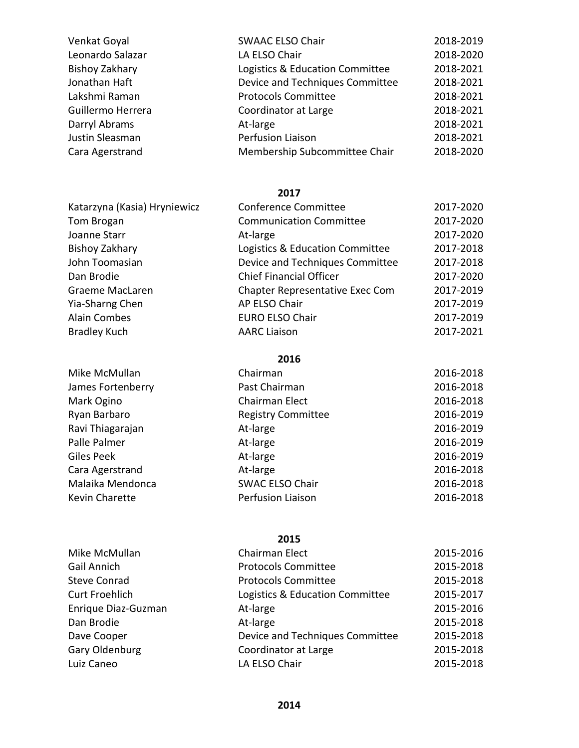| Venkat Goyal      | <b>SWAAC ELSO Chair</b>         | 2018-2019 |
|-------------------|---------------------------------|-----------|
| Leonardo Salazar  | LA ELSO Chair                   | 2018-2020 |
| Bishoy Zakhary    | Logistics & Education Committee | 2018-2021 |
| Jonathan Haft     | Device and Techniques Committee | 2018-2021 |
| Lakshmi Raman     | <b>Protocols Committee</b>      | 2018-2021 |
| Guillermo Herrera | Coordinator at Large            | 2018-2021 |
| Darryl Abrams     | At-large                        | 2018-2021 |
| Justin Sleasman   | Perfusion Liaison               | 2018-2021 |
| Cara Agerstrand   | Membership Subcommittee Chair   | 2018-2020 |

| Katarzyna (Kasia) Hryniewicz | <b>Conference Committee</b>     | 2017-2020 |
|------------------------------|---------------------------------|-----------|
| Tom Brogan                   | <b>Communication Committee</b>  | 2017-2020 |
| Joanne Starr                 | At-large                        | 2017-2020 |
| Bishoy Zakhary               | Logistics & Education Committee | 2017-2018 |
| John Toomasian               | Device and Techniques Committee | 2017-2018 |
| Dan Brodie                   | <b>Chief Financial Officer</b>  | 2017-2020 |
| Graeme MacLaren              | Chapter Representative Exec Com | 2017-2019 |
| Yia-Sharng Chen              | AP ELSO Chair                   | 2017-2019 |
| Alain Combes                 | <b>EURO ELSO Chair</b>          | 2017-2019 |
| <b>Bradley Kuch</b>          | <b>AARC Liaison</b>             | 2017-2021 |
|                              |                                 |           |

## **2016**

Mike McMullan James Fortenberry

Cara Agerstrand Malaika Mendonca Kevin Charette

Mark Ogino Ryan Barbaro Ravi Thiagarajan Palle Palmer Giles Peek

| Chairman                  | 2016-2018 |
|---------------------------|-----------|
| Past Chairman             | 2016-2018 |
| Chairman Elect            | 2016-2018 |
| <b>Registry Committee</b> | 2016-2019 |
| At-large                  | 2016-2019 |
| At-large                  | 2016-2019 |
| At-large                  | 2016-2019 |
| At-large                  | 2016-2018 |
| <b>SWAC ELSO Chair</b>    | 2016-2018 |
| <b>Perfusion Liaison</b>  | 2016-2018 |
|                           |           |

| Mike McMullan         | Chairman Elect                  | 2015-2016 |
|-----------------------|---------------------------------|-----------|
| Gail Annich           | <b>Protocols Committee</b>      | 2015-2018 |
| <b>Steve Conrad</b>   | <b>Protocols Committee</b>      | 2015-2018 |
| <b>Curt Froehlich</b> | Logistics & Education Committee | 2015-2017 |
| Enrique Diaz-Guzman   | At-large                        | 2015-2016 |
| Dan Brodie            | At-large                        | 2015-2018 |
| Dave Cooper           | Device and Techniques Committee | 2015-2018 |
| Gary Oldenburg        | Coordinator at Large            | 2015-2018 |
| Luiz Caneo            | LA ELSO Chair                   | 2015-2018 |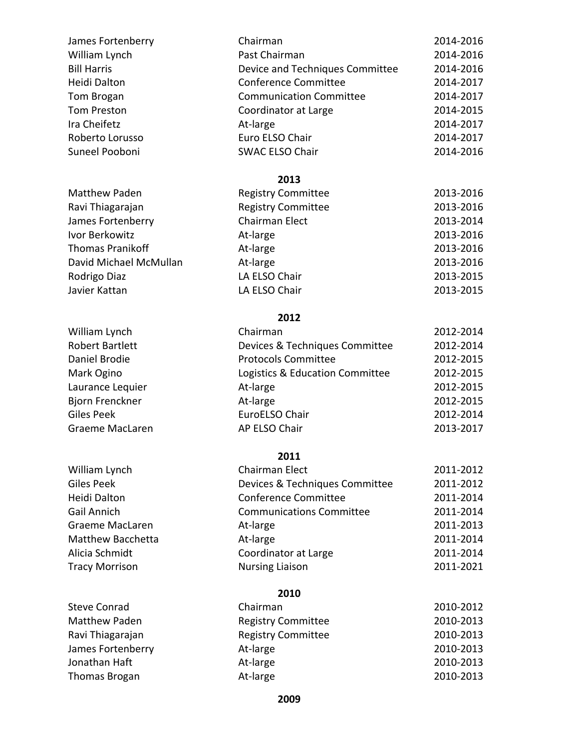| James Fortenberry        | Chairman                        | 2014-2016 |
|--------------------------|---------------------------------|-----------|
| William Lynch            | Past Chairman                   | 2014-2016 |
| <b>Bill Harris</b>       | Device and Techniques Committee | 2014-2016 |
| Heidi Dalton             | <b>Conference Committee</b>     | 2014-2017 |
| Tom Brogan               | <b>Communication Committee</b>  | 2014-2017 |
| <b>Tom Preston</b>       | Coordinator at Large            | 2014-2015 |
| Ira Cheifetz             | At-large                        | 2014-2017 |
| Roberto Lorusso          | Euro ELSO Chair                 | 2014-2017 |
| Suneel Pooboni           | <b>SWAC ELSO Chair</b>          | 2014-2016 |
|                          | 2013                            |           |
| <b>Matthew Paden</b>     | <b>Registry Committee</b>       | 2013-2016 |
| Ravi Thiagarajan         | <b>Registry Committee</b>       | 2013-2016 |
| James Fortenberry        | Chairman Elect                  | 2013-2014 |
| Ivor Berkowitz           | At-large                        | 2013-2016 |
| <b>Thomas Pranikoff</b>  | At-large                        | 2013-2016 |
| David Michael McMullan   | At-large                        | 2013-2016 |
| Rodrigo Diaz             | LA ELSO Chair                   | 2013-2015 |
| Javier Kattan            | LA ELSO Chair                   | 2013-2015 |
|                          | 2012                            |           |
| William Lynch            | Chairman                        | 2012-2014 |
| <b>Robert Bartlett</b>   | Devices & Techniques Committee  | 2012-2014 |
| Daniel Brodie            | <b>Protocols Committee</b>      | 2012-2015 |
| Mark Ogino               | Logistics & Education Committee | 2012-2015 |
| Laurance Lequier         | At-large                        | 2012-2015 |
| Bjorn Frenckner          | At-large                        | 2012-2015 |
| <b>Giles Peek</b>        | EuroELSO Chair                  | 2012-2014 |
| <b>Graeme MacLaren</b>   | AP ELSO Chair                   | 2013-2017 |
|                          | 2011                            |           |
| William Lynch            | <b>Chairman Elect</b>           | 2011-2012 |
| <b>Giles Peek</b>        | Devices & Techniques Committee  | 2011-2012 |
| Heidi Dalton             | <b>Conference Committee</b>     | 2011-2014 |
| <b>Gail Annich</b>       | <b>Communications Committee</b> | 2011-2014 |
| Graeme MacLaren          | At-large                        | 2011-2013 |
| <b>Matthew Bacchetta</b> | At-large                        | 2011-2014 |
| Alicia Schmidt           | Coordinator at Large            | 2011-2014 |
| <b>Tracy Morrison</b>    | <b>Nursing Liaison</b>          | 2011-2021 |
|                          | 2010                            |           |
| <b>Steve Conrad</b>      | Chairman                        | 2010-2012 |
| <b>Matthew Paden</b>     | <b>Registry Committee</b>       | 2010-2013 |
| Ravi Thiagarajan         | <b>Registry Committee</b>       | 2010-2013 |
| James Fortenberry        | At-large                        | 2010-2013 |
| Jonathan Haft            | At-large                        | 2010-2013 |
| <b>Thomas Brogan</b>     | At-large                        | 2010-2013 |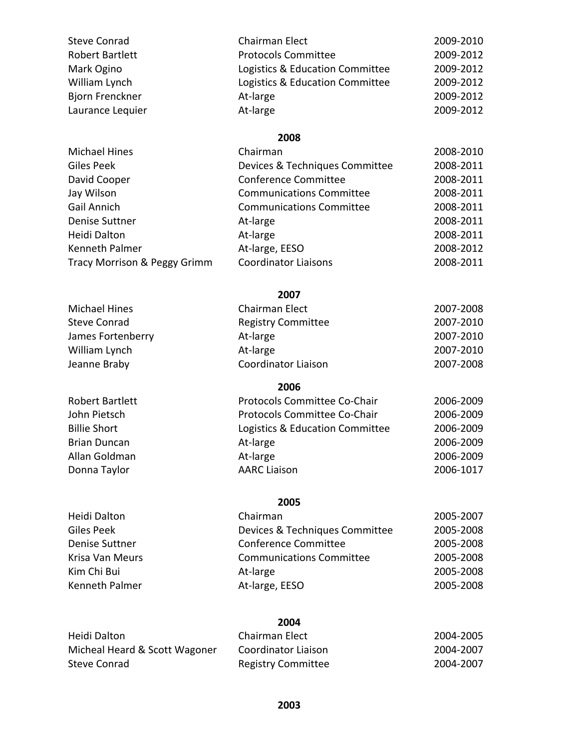| <b>Steve Conrad</b> | Chairman Elect                  | 2009-2010 |
|---------------------|---------------------------------|-----------|
| Robert Bartlett     | <b>Protocols Committee</b>      | 2009-2012 |
| Mark Ogino          | Logistics & Education Committee | 2009-2012 |
| William Lynch       | Logistics & Education Committee | 2009-2012 |
| Bjorn Frenckner     | At-large                        | 2009-2012 |
| Laurance Lequier    | At-large                        | 2009-2012 |

| <b>Michael Hines</b>         | Chairman                        | 2008-2010 |
|------------------------------|---------------------------------|-----------|
| Giles Peek                   | Devices & Techniques Committee  | 2008-2011 |
| David Cooper                 | <b>Conference Committee</b>     | 2008-2011 |
| Jay Wilson                   | <b>Communications Committee</b> | 2008-2011 |
| Gail Annich                  | <b>Communications Committee</b> | 2008-2011 |
| <b>Denise Suttner</b>        | At-large                        | 2008-2011 |
| Heidi Dalton                 | At-large                        | 2008-2011 |
| Kenneth Palmer               | At-large, EESO                  | 2008-2012 |
| Tracy Morrison & Peggy Grimm | <b>Coordinator Liaisons</b>     | 2008-2011 |
|                              |                                 |           |

## **2007**

| Michael Hines       | Chairman Elect            | 2007-2008 |
|---------------------|---------------------------|-----------|
| <b>Steve Conrad</b> | <b>Registry Committee</b> | 2007-2010 |
| James Fortenberry   | At-large                  | 2007-2010 |
| William Lynch       | At-large                  | 2007-2010 |
| Jeanne Braby        | Coordinator Liaison       | 2007-2008 |

Robert Bartlett John Pietsch **Billie Short** Brian Duncan Allan Goldman Donna Taylor

Heidi Dalton Giles Peek Denise Suttner Krisa Van Meurs Kim Chi Bui Kenneth Palmer

## **2006**

| Protocols Committee Co-Chair    | 2006-2009 |
|---------------------------------|-----------|
| Protocols Committee Co-Chair    | 2006-2009 |
| Logistics & Education Committee | 2006-2009 |
| At-large                        | 2006-2009 |
| At-large                        | 2006-2009 |
| <b>AARC Liaison</b>             | 2006-1017 |

#### **2005**

| Chairman                        | 2005-2007 |
|---------------------------------|-----------|
| Devices & Techniques Committee  | 2005-2008 |
| <b>Conference Committee</b>     | 2005-2008 |
| <b>Communications Committee</b> | 2005-2008 |
| At-large                        | 2005-2008 |
| At-large, EESO                  | 2005-2008 |

| Heidi Dalton                  | Chairman Elect            | 2004-2005 |
|-------------------------------|---------------------------|-----------|
| Micheal Heard & Scott Wagoner | Coordinator Liaison       | 2004-2007 |
| Steve Conrad                  | <b>Registry Committee</b> | 2004-2007 |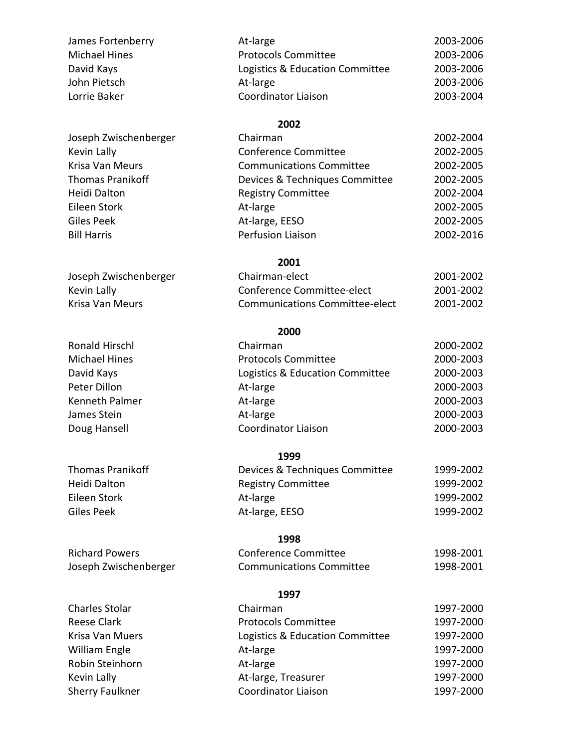| At-large                        | 2003-2006 |
|---------------------------------|-----------|
| <b>Protocols Committee</b>      | 2003-2006 |
| Logistics & Education Committee | 2003-2006 |
| At-large                        | 2003-2006 |
| Coordinator Liaison             | 2003-2004 |
|                                 |           |

| Joseph Zwischenberger | Chairman                        | 2002-2004 |
|-----------------------|---------------------------------|-----------|
| Kevin Lally           | <b>Conference Committee</b>     | 2002-2005 |
| Krisa Van Meurs       | <b>Communications Committee</b> | 2002-2005 |
| Thomas Pranikoff      | Devices & Techniques Committee  | 2002-2005 |
| Heidi Dalton          | <b>Registry Committee</b>       | 2002-2004 |
| Eileen Stork          | At-large                        | 2002-2005 |
| Giles Peek            | At-large, EESO                  | 2002-2005 |
| <b>Bill Harris</b>    | Perfusion Liaison               | 2002-2016 |
|                       |                                 |           |

#### **2001**

| Chairman-elect                 | 2001-2002 |
|--------------------------------|-----------|
| Conference Committee-elect     | 2001-2002 |
| Communications Committee-elect | 2001-2002 |

## **2000**

| Chairman                        | 2000-2002 |
|---------------------------------|-----------|
| <b>Protocols Committee</b>      | 2000-2003 |
| Logistics & Education Committee | 2000-2003 |
| At-large                        | 2000-2003 |
| At-large                        | 2000-2003 |
| At-large                        | 2000-2003 |
| <b>Coordinator Liaison</b>      | 2000-2003 |
|                                 |           |

#### **1999**

| <b>Thomas Pranikoff</b> | Devices & Techniques Committee | 1999-2002 |
|-------------------------|--------------------------------|-----------|
| Heidi Dalton            | <b>Registry Committee</b>      | 1999-2002 |
| Eileen Stork            | At-large                       | 1999-2002 |
| Giles Peek              | At-large, EESO                 | 1999-2002 |

## **1998**

| Conference Committee            | 1998-2001 |
|---------------------------------|-----------|
| <b>Communications Committee</b> | 1998-2001 |

#### **1997**

| Chairman                        | 1997-2000 |
|---------------------------------|-----------|
| <b>Protocols Committee</b>      | 1997-2000 |
| Logistics & Education Committee | 1997-2000 |
| At-large                        | 1997-2000 |
| At-large                        | 1997-2000 |
| At-large, Treasurer             | 1997-2000 |
| Coordinator Liaison             | 1997-2000 |

Joseph Zwischenberger

Kevin Lally Krisa Van Meurs Ronald Hirschl Michael Hines

David Kays Peter Dillon Kenneth Palmer James Stein Doug Hansell

Richard Powers Joseph Zwischenberger

Charles Stolar Reese Clark Krisa Van Muers William Engle Robin Steinhorn Kevin Lally Sherry Faulkner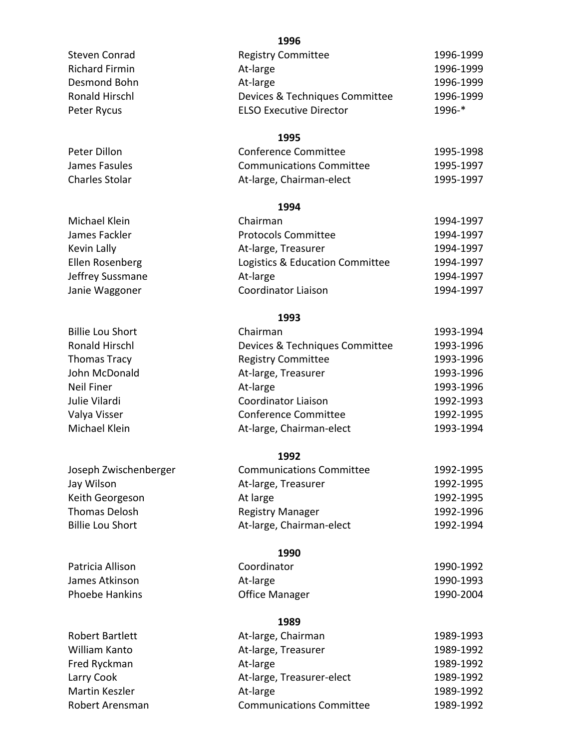|                         | エンンひ                            |           |
|-------------------------|---------------------------------|-----------|
| Steven Conrad           | <b>Registry Committee</b>       | 1996-1999 |
| <b>Richard Firmin</b>   | At-large                        | 1996-1999 |
| Desmond Bohn            | At-large                        | 1996-1999 |
| <b>Ronald Hirschl</b>   | Devices & Techniques Committee  | 1996-1999 |
| Peter Rycus             | <b>ELSO Executive Director</b>  | 1996-*    |
|                         |                                 |           |
|                         | 1995                            |           |
| Peter Dillon            | <b>Conference Committee</b>     | 1995-1998 |
| James Fasules           | <b>Communications Committee</b> | 1995-1997 |
| Charles Stolar          | At-large, Chairman-elect        | 1995-1997 |
|                         | 1994                            |           |
| Michael Klein           | Chairman                        | 1994-1997 |
| James Fackler           | <b>Protocols Committee</b>      | 1994-1997 |
| Kevin Lally             | At-large, Treasurer             | 1994-1997 |
| Ellen Rosenberg         | Logistics & Education Committee | 1994-1997 |
| Jeffrey Sussmane        | At-large                        | 1994-1997 |
| Janie Waggoner          | <b>Coordinator Liaison</b>      | 1994-1997 |
|                         |                                 |           |
|                         | 1993                            |           |
| <b>Billie Lou Short</b> | Chairman                        | 1993-1994 |
| <b>Ronald Hirschl</b>   | Devices & Techniques Committee  | 1993-1996 |
| Thomas Tracy            | <b>Registry Committee</b>       | 1993-1996 |
| John McDonald           | At-large, Treasurer             | 1993-1996 |
| <b>Neil Finer</b>       | At-large                        | 1993-1996 |
| Julie Vilardi           | <b>Coordinator Liaison</b>      | 1992-1993 |
| Valya Visser            | <b>Conference Committee</b>     | 1992-1995 |
| Michael Klein           | At-large, Chairman-elect        | 1993-1994 |
|                         | 1992                            |           |
| Joseph Zwischenberger   | <b>Communications Committee</b> | 1992-1995 |
| Jay Wilson              | At-large, Treasurer             | 1992-1995 |
| Keith Georgeson         | At large                        | 1992-1995 |
| Thomas Delosh           | <b>Registry Manager</b>         | 1992-1996 |
| <b>Billie Lou Short</b> | At-large, Chairman-elect        | 1992-1994 |
|                         |                                 |           |
| Patricia Allison        | 1990<br>Coordinator             | 1990-1992 |
| James Atkinson          |                                 | 1990-1993 |
|                         | At-large                        |           |
| <b>Phoebe Hankins</b>   | <b>Office Manager</b>           | 1990-2004 |
|                         | 1989                            |           |
| <b>Robert Bartlett</b>  | At-large, Chairman              | 1989-1993 |
| William Kanto           | At-large, Treasurer             | 1989-1992 |
| Fred Ryckman            | At-large                        | 1989-1992 |
| Larry Cook              | At-large, Treasurer-elect       | 1989-1992 |
| Martin Keszler          | At-large                        | 1989-1992 |
| Robert Arensman         | <b>Communications Committee</b> | 1989-1992 |
|                         |                                 |           |